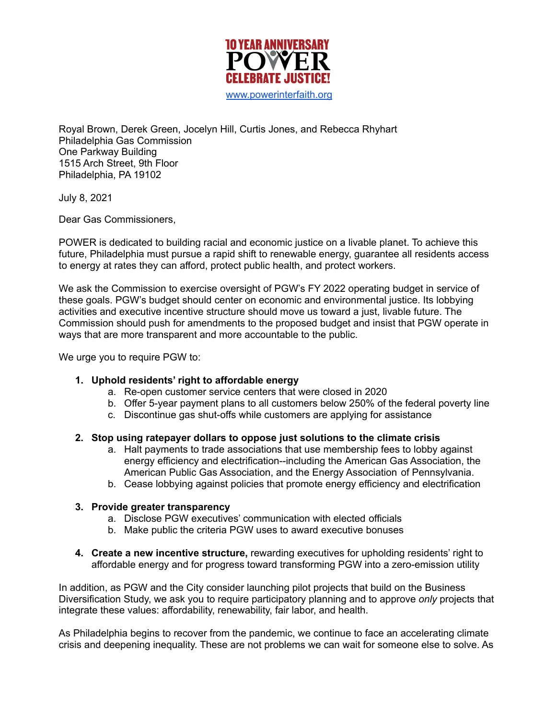

Royal Brown, Derek Green, Jocelyn Hill, Curtis Jones, and Rebecca Rhyhart Philadelphia Gas Commission One Parkway Building 1515 Arch Street, 9th Floor Philadelphia, PA 19102

July 8, 2021

Dear Gas Commissioners,

POWER is dedicated to building racial and economic justice on a livable planet. To achieve this future, Philadelphia must pursue a rapid shift to renewable energy, guarantee all residents access to energy at rates they can afford, protect public health, and protect workers.

We ask the Commission to exercise oversight of PGW's FY 2022 operating budget in service of these goals. PGW's budget should center on economic and environmental justice. Its lobbying activities and executive incentive structure should move us toward a just, livable future. The Commission should push for amendments to the proposed budget and insist that PGW operate in ways that are more transparent and more accountable to the public.

We urge you to require PGW to:

## **1. Uphold residents' right to affordable energy**

- a. Re-open customer service centers that were closed in 2020
- b. Offer 5-year payment plans to all customers below 250% of the federal poverty line
- c. Discontinue gas shut-offs while customers are applying for assistance

### **2. Stop using ratepayer dollars to oppose just solutions to the climate crisis**

- a. Halt payments to trade associations that use membership fees to lobby against energy efficiency and electrification--including the American Gas Association, the American Public Gas Association, and the Energy Association of Pennsylvania.
- b. Cease lobbying against policies that promote energy efficiency and electrification

### **3. Provide greater transparency**

- a. Disclose PGW executives' communication with elected officials
- b. Make public the criteria PGW uses to award executive bonuses
- **4. Create a new incentive structure,** rewarding executives for upholding residents' right to affordable energy and for progress toward transforming PGW into a zero-emission utility

In addition, as PGW and the City consider launching pilot projects that build on the Business Diversification Study, we ask you to require participatory planning and to approve *only* projects that integrate these values: affordability, renewability, fair labor, and health.

As Philadelphia begins to recover from the pandemic, we continue to face an accelerating climate crisis and deepening inequality. These are not problems we can wait for someone else to solve. As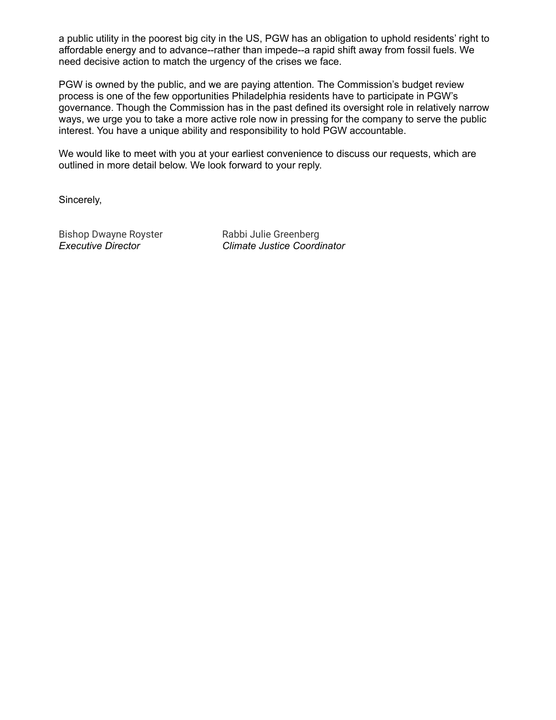a public utility in the poorest big city in the US, PGW has an obligation to uphold residents' right to affordable energy and to advance--rather than impede--a rapid shift away from fossil fuels. We need decisive action to match the urgency of the crises we face.

PGW is owned by the public, and we are paying attention*.* The Commission's budget review process is one of the few opportunities Philadelphia residents have to participate in PGW's governance. Though the Commission has in the past defined its oversight role in relatively narrow ways, we urge you to take a more active role now in pressing for the company to serve the public interest. You have a unique ability and responsibility to hold PGW accountable.

We would like to meet with you at your earliest convenience to discuss our requests, which are outlined in more detail below. We look forward to your reply.

Sincerely,

Bishop Dwayne Royster Rabbi Julie Greenberg

*Executive Director Climate Justice Coordinator*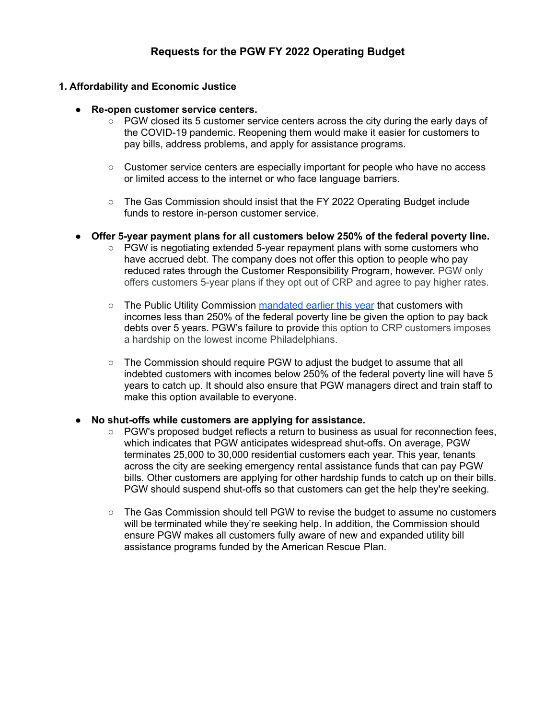# **Requests for the PGW FY 2022 Operating Budget**

## **1. Affordability and Economic Justice**

- **Re-open customer service centers.**
	- PGW closed its 5 customer service centers across the city during the early days of the COVID-19 pandemic. Reopening them would make it easier for customers to pay bills, address problems, and apply for assistance programs.
	- Customer service centers are especially important for people who have no access or limited access to the internet or who face language barriers.
	- The Gas Commission should insist that the FY 2022 Operating Budget include funds to restore in-person customer service.
- **● Offer 5-year payment plans for all customers below 250% of the federal poverty line.**
	- PGW is negotiating extended 5-year repayment plans with some customers who have accrued debt. The company does not offer this option to people who pay reduced rates through the Customer Responsibility Program, however. PGW only offers customers 5-year plans if they opt out of CRP and agree to pay higher rates.
	- The Public Utility Commission [mandated](https://www.puc.pa.gov/press-release/2021/puc-creates-added-2021-safeguards-to-help-households-and-small-businesses-address-past-due-utility-bills.) earlier this year that customers with incomes less than 250% of the federal poverty line be given the option to pay back debts over 5 years. PGW's failure to provide this option to CRP customers imposes a hardship on the lowest income Philadelphians.
	- The Commission should require PGW to adjust the budget to assume that all indebted customers with incomes below 250% of the federal poverty line will have 5 years to catch up. It should also ensure that PGW managers direct and train staff to make this option available to everyone.

### **● No shut-offs while customers are applying for assistance.**

- PGW's proposed budget reflects a return to business as usual for reconnection fees, which indicates that PGW anticipates widespread shut-offs. On average, PGW terminates 25,000 to 30,000 residential customers each year. This year, tenants across the city are seeking emergency rental assistance funds that can pay PGW bills. Other customers are applying for other hardship funds to catch up on their bills. PGW should suspend shut-offs so that customers can get the help they're seeking.
- The Gas Commission should tell PGW to revise the budget to assume no customers will be terminated while they're seeking help. In addition, the Commission should ensure PGW makes all customers fully aware of new and expanded utility bill assistance programs funded by the American Rescue Plan.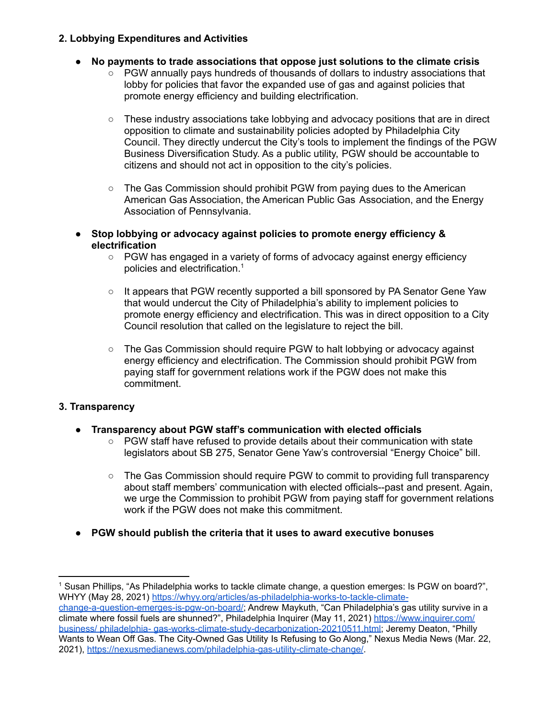## **2. Lobbying Expenditures and Activities**

- **No payments to trade associations that oppose just solutions to the climate crisis**
	- PGW annually pays hundreds of thousands of dollars to industry associations that lobby for policies that favor the expanded use of gas and against policies that promote energy efficiency and building electrification.
	- $\circ$  These industry associations take lobbying and advocacy positions that are in direct opposition to climate and sustainability policies adopted by Philadelphia City Council. They directly undercut the City's tools to implement the findings of the PGW Business Diversification Study. As a public utility, PGW should be accountable to citizens and should not act in opposition to the city's policies.
	- The Gas Commission should prohibit PGW from paying dues to the American American Gas Association, the American Public Gas Association, and the Energy Association of Pennsylvania.
- **● Stop lobbying or advocacy against policies to promote energy efficiency & electrification**
	- *○* PGW has engaged in a variety of forms of advocacy against energy efficiency policies and electrification. 1
	- *○* It appears that PGW recently supported a bill sponsored by PA Senator Gene Yaw that would undercut the City of Philadelphia's ability to implement policies to promote energy efficiency and electrification. This was in direct opposition to a City Council resolution that called on the legislature to reject the bill.
	- *○* The Gas Commission should require PGW to halt lobbying or advocacy against energy efficiency and electrification. The Commission should prohibit PGW from paying staff for government relations work if the PGW does not make this commitment.

# **3. Transparency**

- **● Transparency about PGW staff's communication with elected officials**
	- $\circ$  PGW staff have refused to provide details about their communication with state legislators about SB 275, Senator Gene Yaw's controversial "Energy Choice" bill.
	- The Gas Commission should require PGW to commit to providing full transparency about staff members' communication with elected officials--past and present. Again, we urge the Commission to prohibit PGW from paying staff for government relations work if the PGW does not make this commitment.
- **● PGW should publish the criteria that it uses to award executive bonuses**

<sup>1</sup> Susan Phillips, "As Philadelphia works to tackle climate change, a question emerges: Is PGW on board?", WHYY (May 28, 2021) [https://whyy.org/articles/as-philadelphia-works-to-tackle-climate-](https://whyy.org/articles/as-philadelphia-works-to-tackle-climate-change-a-question-emerges-is-pgw-on-board/)

[change-a-question-emerges-is-pgw-on-board/](https://whyy.org/articles/as-philadelphia-works-to-tackle-climate-change-a-question-emerges-is-pgw-on-board/); Andrew Maykuth, "Can Philadelphia's gas utility survive in a climate where fossil fuels are shunned?", Philadelphia Inquirer (May 11, 2021) [https://www.inquirer.com/](https://www.inquirer.com/business/) business/ philadelphia- [gas-works-climate-study-decarbonization-20210511.html;](https://www.inquirer.com/business/) Jeremy Deaton, "Philly Wants to Wean Off Gas. The City-Owned Gas Utility Is Refusing to Go Along," Nexus Media News (Mar. 22, 2021), <https://nexusmedianews.com/philadelphia-gas-utility-climate-change/>.